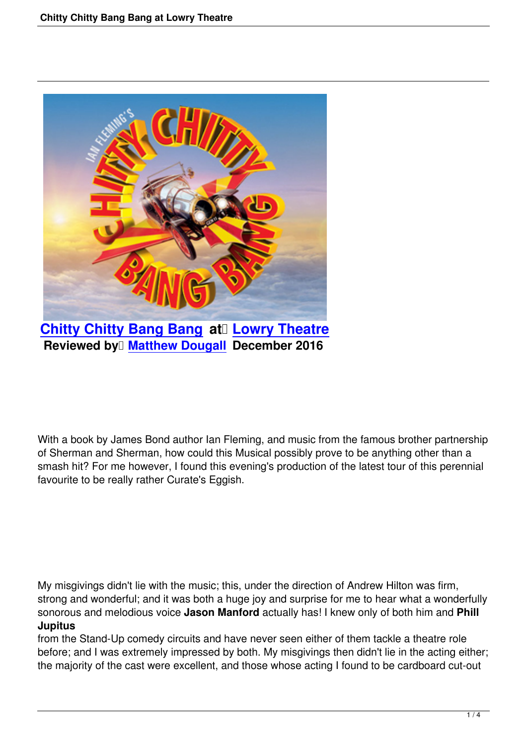

**Chitty Chitty Bang Bang at Lowry Theatre Reviewed by Matthew Dougall December 2016** 

With a book by James Bond author Ian Fleming, and music from the famous brother partnership of Sherman and Sherman, how could this Musical possibly prove to be anything other than a smash hit? For me however, I found this evening's production of the latest tour of this perennial favourite to be really rather Curate's Eggish.

My misgivings didn't lie with the music; this, under the direction of Andrew Hilton was firm, strong and wonderful; and it was both a huge joy and surprise for me to hear what a wonderfully sonorous and melodious voice **Jason Manford** actually has! I knew only of both him and **Phill Jupitus**

from the Stand-Up comedy circuits and have never seen either of them tackle a theatre role before; and I was extremely impressed by both. My misgivings then didn't lie in the acting either; the majority of the cast were excellent, and those whose acting I found to be cardboard cut-out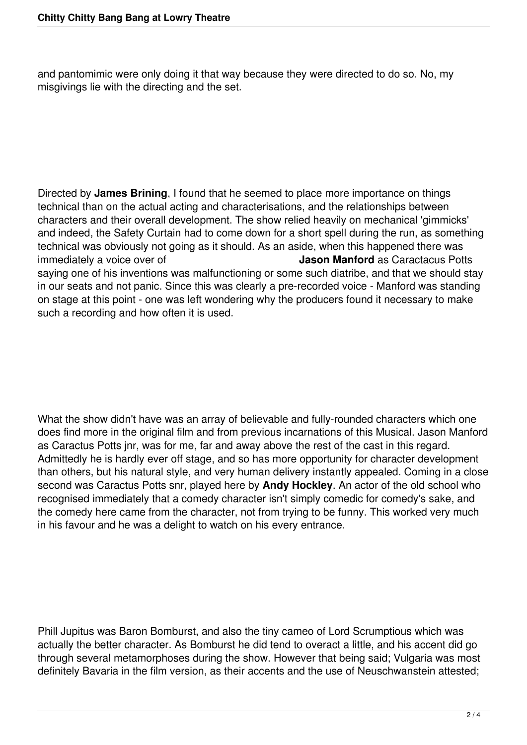and pantomimic were only doing it that way because they were directed to do so. No, my misgivings lie with the directing and the set.

Directed by **James Brining**, I found that he seemed to place more importance on things technical than on the actual acting and characterisations, and the relationships between characters and their overall development. The show relied heavily on mechanical 'gimmicks' and indeed, the Safety Curtain had to come down for a short spell during the run, as something technical was obviously not going as it should. As an aside, when this happened there was<br>immediately a voice over of **Jason Manford** as Caractacus Pot **Jason Manford** as Caractacus Potts saying one of his inventions was malfunctioning or some such diatribe, and that we should stay in our seats and not panic. Since this was clearly a pre-recorded voice - Manford was standing on stage at this point - one was left wondering why the producers found it necessary to make such a recording and how often it is used.

What the show didn't have was an array of believable and fully-rounded characters which one does find more in the original film and from previous incarnations of this Musical. Jason Manford as Caractus Potts jnr, was for me, far and away above the rest of the cast in this regard. Admittedly he is hardly ever off stage, and so has more opportunity for character development than others, but his natural style, and very human delivery instantly appealed. Coming in a close second was Caractus Potts snr, played here by **Andy Hockley**. An actor of the old school who recognised immediately that a comedy character isn't simply comedic for comedy's sake, and the comedy here came from the character, not from trying to be funny. This worked very much in his favour and he was a delight to watch on his every entrance.

Phill Jupitus was Baron Bomburst, and also the tiny cameo of Lord Scrumptious which was actually the better character. As Bomburst he did tend to overact a little, and his accent did go through several metamorphoses during the show. However that being said; Vulgaria was most definitely Bavaria in the film version, as their accents and the use of Neuschwanstein attested;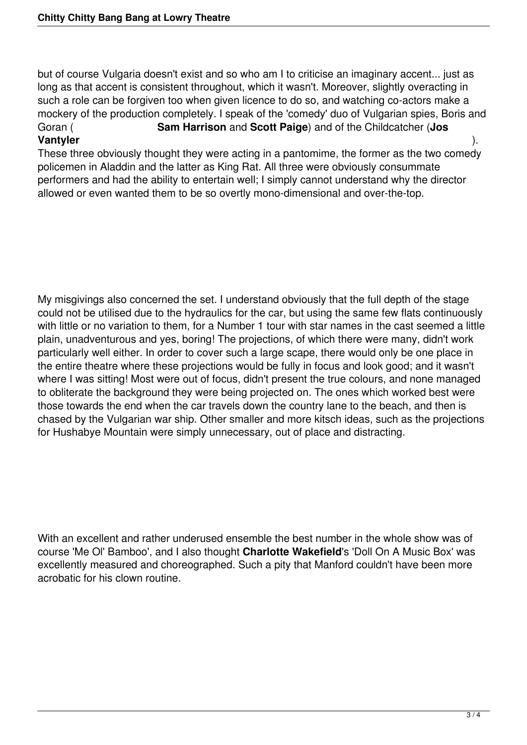but of course Vulgaria doesn't exist and so who am I to criticise an imaginary accent... just as long as that accent is consistent throughout, which it wasn't. Moreover, slightly overacting in such a role can be forgiven too when given licence to do so, and watching co-actors make a mockery of the production completely. I speak of the 'comedy' duo of Vulgarian spies, Boris and Goran ( **Sam Harrison** and **Scott Paige**) and of the Childcatcher (**Jos Vantyler** ).

These three obviously thought they were acting in a pantomime, the former as the two comedy policemen in Aladdin and the latter as King Rat. All three were obviously consummate performers and had the ability to entertain well; I simply cannot understand why the director allowed or even wanted them to be so overtly mono-dimensional and over-the-top.

My misgivings also concerned the set. I understand obviously that the full depth of the stage could not be utilised due to the hydraulics for the car, but using the same few flats continuously with little or no variation to them, for a Number 1 tour with star names in the cast seemed a little plain, unadventurous and yes, boring! The projections, of which there were many, didn't work particularly well either. In order to cover such a large scape, there would only be one place in the entire theatre where these projections would be fully in focus and look good; and it wasn't where I was sitting! Most were out of focus, didn't present the true colours, and none managed to obliterate the background they were being projected on. The ones which worked best were those towards the end when the car travels down the country lane to the beach, and then is chased by the Vulgarian war ship. Other smaller and more kitsch ideas, such as the projections for Hushabye Mountain were simply unnecessary, out of place and distracting.

With an excellent and rather underused ensemble the best number in the whole show was of course 'Me Ol' Bamboo', and I also thought **Charlotte Wakefield**'s 'Doll On A Music Box' was excellently measured and choreographed. Such a pity that Manford couldn't have been more acrobatic for his clown routine.